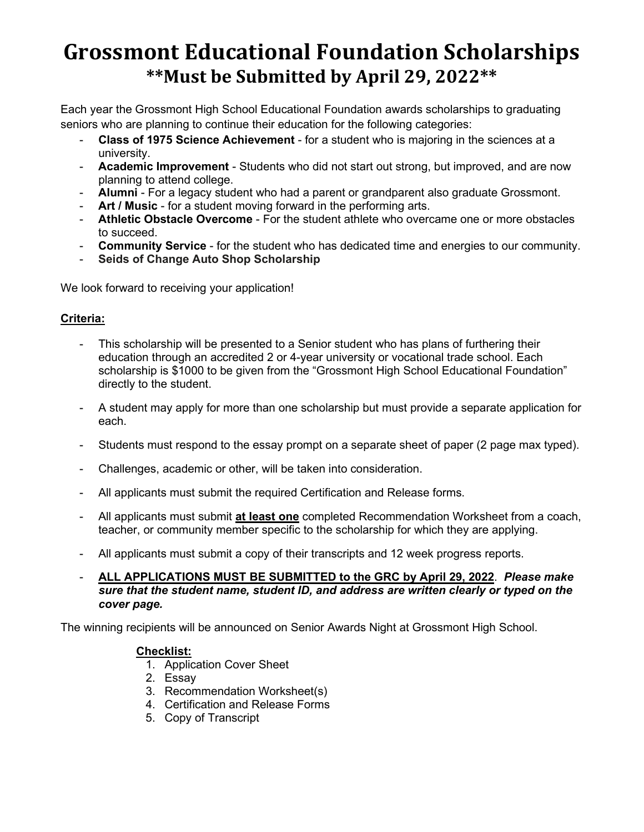## **Grossmont Educational Foundation Scholarships \*\*Must be Submitted by April 29, 2022\*\***

Each year the Grossmont High School Educational Foundation awards scholarships to graduating seniors who are planning to continue their education for the following categories:

- **Class of 1975 Science Achievement** for a student who is majoring in the sciences at a university.
- **Academic Improvement** Students who did not start out strong, but improved, and are now planning to attend college.
- **Alumni**  For a legacy student who had a parent or grandparent also graduate Grossmont.
- **Art / Music** for a student moving forward in the performing arts.
- **Athletic Obstacle Overcome** For the student athlete who overcame one or more obstacles to succeed.
- **Community Service** for the student who has dedicated time and energies to our community.
- **Seids of Change Auto Shop Scholarship**

We look forward to receiving your application!

#### **Criteria:**

- This scholarship will be presented to a Senior student who has plans of furthering their education through an accredited 2 or 4-year university or vocational trade school. Each scholarship is \$1000 to be given from the "Grossmont High School Educational Foundation" directly to the student.
- A student may apply for more than one scholarship but must provide a separate application for each.
- Students must respond to the essay prompt on a separate sheet of paper (2 page max typed).
- Challenges, academic or other, will be taken into consideration.
- All applicants must submit the required Certification and Release forms.
- All applicants must submit **at least one** completed Recommendation Worksheet from a coach, teacher, or community member specific to the scholarship for which they are applying.
- All applicants must submit a copy of their transcripts and 12 week progress reports.
- **ALL APPLICATIONS MUST BE SUBMITTED to the GRC by April 29, 2022**. *Please make sure that the student name, student ID, and address are written clearly or typed on the cover page.*

The winning recipients will be announced on Senior Awards Night at Grossmont High School.

#### **Checklist:**

- 1. Application Cover Sheet
- 2. Essay
- 3. Recommendation Worksheet(s)
- 4. Certification and Release Forms
- 5. Copy of Transcript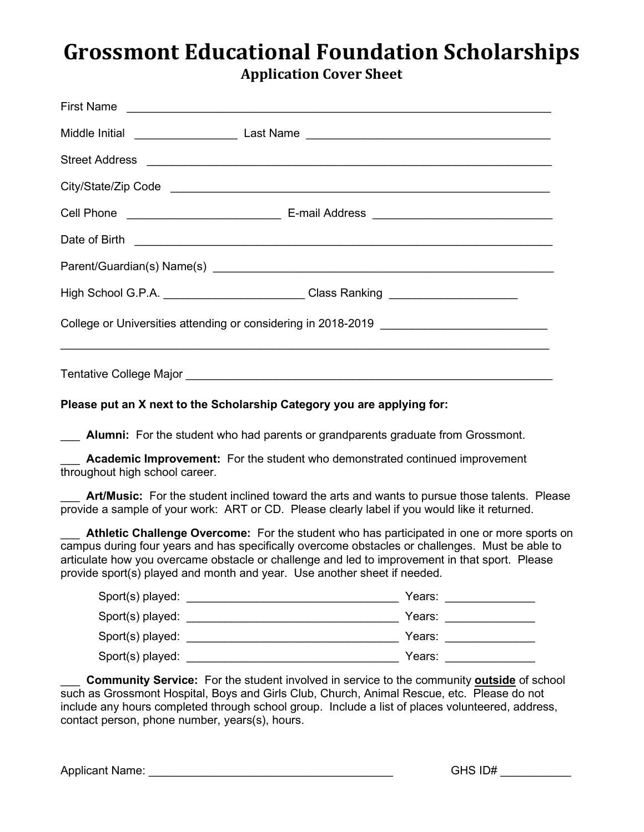## **Grossmont Educational Foundation Scholarships Application Cover Sheet**

First Name \_\_\_\_\_\_\_\_\_\_\_\_\_\_\_\_\_\_\_\_\_\_\_\_\_\_\_\_\_\_\_\_\_\_\_\_\_\_\_\_\_\_\_\_\_\_\_\_\_\_\_\_\_\_\_\_\_\_\_\_\_\_\_\_\_\_ Middle Initial **Example 20** Last Name **Last 20 Last 20 Last 20 Last 20 Last 20 Last 20 Last 20 Last 20 Last 20 Last 20 Last 20 Last 20 Last 20 Last 20 Last 20 Last 20 Last 20 Last 20 Last 20 Last 20 Last 20 Last 20 Last 20** Street Address \_\_\_\_\_\_\_\_\_\_\_\_\_\_\_\_\_\_\_\_\_\_\_\_\_\_\_\_\_\_\_\_\_\_\_\_\_\_\_\_\_\_\_\_\_\_\_\_\_\_\_\_\_\_\_\_\_\_\_\_\_\_\_ City/State/Zip Code \_\_\_\_\_\_\_\_\_\_\_\_\_\_\_\_\_\_\_\_\_\_\_\_\_\_\_\_\_\_\_\_\_\_\_\_\_\_\_\_\_\_\_\_\_\_\_\_\_\_\_\_\_\_\_\_\_\_\_ Cell Phone **E-mail Address E-mail Address E-mail Address E-mail Address E-mail Address E-mail Address E-mail Address E-mail Address E-mail Address E-mail Address E-mail Address E-mail Address E-mail** Date of Birth \_\_\_\_\_\_\_\_\_\_\_\_\_\_\_\_\_\_\_\_\_\_\_\_\_\_\_\_\_\_\_\_\_\_\_\_\_\_\_\_\_\_\_\_\_\_\_\_\_\_\_\_\_\_\_\_\_\_\_\_\_\_\_\_\_ Parent/Guardian(s) Name(s)  $\blacksquare$ High School G.P.A. **Example 20** Class Ranking **Class And Class Ranking** 20 AM College or Universities attending or considering in 2018-2019 \_\_\_\_\_\_\_\_\_\_\_\_\_\_\_\_\_\_ \_\_\_\_\_\_\_\_\_\_\_\_\_\_\_\_\_\_\_\_\_\_\_\_\_\_\_\_\_\_\_\_\_\_\_\_\_\_\_\_\_\_\_\_\_\_\_\_\_\_\_\_\_\_\_\_\_\_\_\_\_\_\_\_\_\_\_\_\_\_\_\_\_\_\_\_ Tentative College Major \_\_\_\_\_\_\_\_\_\_\_\_\_\_\_\_\_\_\_\_\_\_\_\_\_\_\_\_\_\_\_\_\_\_\_\_\_\_\_\_\_\_\_\_\_\_\_\_\_\_\_\_\_\_\_\_\_

#### **Please put an X next to the Scholarship Category you are applying for:**

Alumni: For the student who had parents or grandparents graduate from Grossmont.

\_\_\_ **Academic Improvement:** For the student who demonstrated continued improvement throughout high school career.

\_\_\_ **Art/Music:** For the student inclined toward the arts and wants to pursue those talents. Please provide a sample of your work: ART or CD. Please clearly label if you would like it returned.

Athletic Challenge Overcome: For the student who has participated in one or more sports on campus during four years and has specifically overcome obstacles or challenges. Must be able to articulate how you overcame obstacle or challenge and led to improvement in that sport. Please provide sport(s) played and month and year. Use another sheet if needed.

| Sport(s) played: | Years: |
|------------------|--------|
| Sport(s) played: | Years: |
| Sport(s) played: | Years: |
| Sport(s) played: | Years: |

\_\_\_ **Community Service:** For the student involved in service to the community **outside** of school such as Grossmont Hospital, Boys and Girls Club, Church, Animal Rescue, etc. Please do not include any hours completed through school group. Include a list of places volunteered, address, contact person, phone number, years(s), hours.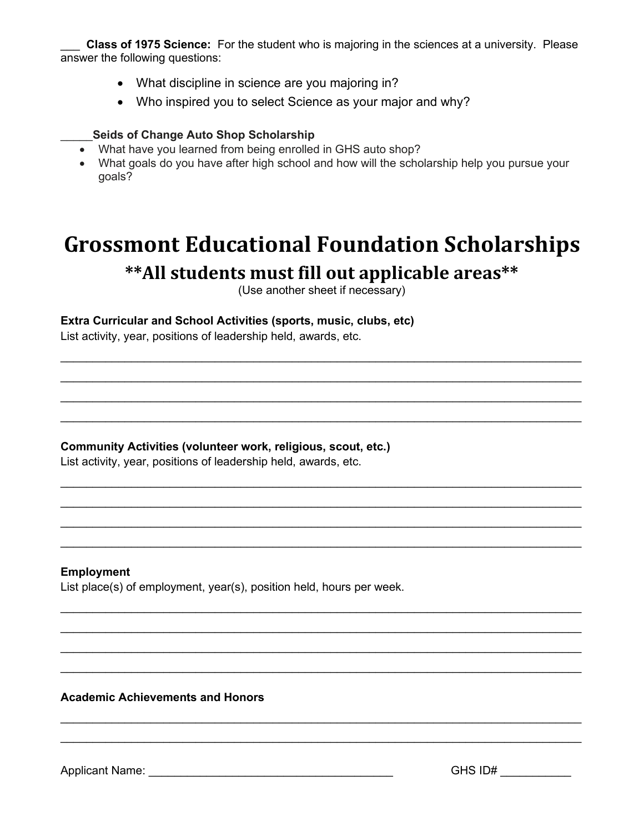**Class of 1975 Science:** For the student who is majoring in the sciences at a university. Please answer the following questions:

- What discipline in science are you majoring in?
- Who inspired you to select Science as your major and why?

#### \_\_\_\_\_**Seids of Change Auto Shop Scholarship**

- What have you learned from being enrolled in GHS auto shop?
- What goals do you have after high school and how will the scholarship help you pursue your goals?

# **Grossmont Educational Foundation Scholarships**

### **\*\*All students must fill out applicable areas\*\***

(Use another sheet if necessary)

\_\_\_\_\_\_\_\_\_\_\_\_\_\_\_\_\_\_\_\_\_\_\_\_\_\_\_\_\_\_\_\_\_\_\_\_\_\_\_\_\_\_\_\_\_\_\_\_\_\_\_\_\_\_\_\_\_\_\_\_\_\_\_\_\_\_\_\_\_\_\_\_\_\_\_\_\_\_\_\_\_  $\_$  , and the set of the set of the set of the set of the set of the set of the set of the set of the set of the set of the set of the set of the set of the set of the set of the set of the set of the set of the set of th \_\_\_\_\_\_\_\_\_\_\_\_\_\_\_\_\_\_\_\_\_\_\_\_\_\_\_\_\_\_\_\_\_\_\_\_\_\_\_\_\_\_\_\_\_\_\_\_\_\_\_\_\_\_\_\_\_\_\_\_\_\_\_\_\_\_\_\_\_\_\_\_\_\_\_\_\_\_\_\_\_ \_\_\_\_\_\_\_\_\_\_\_\_\_\_\_\_\_\_\_\_\_\_\_\_\_\_\_\_\_\_\_\_\_\_\_\_\_\_\_\_\_\_\_\_\_\_\_\_\_\_\_\_\_\_\_\_\_\_\_\_\_\_\_\_\_\_\_\_\_\_\_\_\_\_\_\_\_\_\_\_\_

 $\_$  , and the set of the set of the set of the set of the set of the set of the set of the set of the set of the set of the set of the set of the set of the set of the set of the set of the set of the set of the set of th \_\_\_\_\_\_\_\_\_\_\_\_\_\_\_\_\_\_\_\_\_\_\_\_\_\_\_\_\_\_\_\_\_\_\_\_\_\_\_\_\_\_\_\_\_\_\_\_\_\_\_\_\_\_\_\_\_\_\_\_\_\_\_\_\_\_\_\_\_\_\_\_\_\_\_\_\_\_\_\_\_  $\_$  , and the set of the set of the set of the set of the set of the set of the set of the set of the set of the set of the set of the set of the set of the set of the set of the set of the set of the set of the set of th  $\_$  , and the set of the set of the set of the set of the set of the set of the set of the set of the set of the set of the set of the set of the set of the set of the set of the set of the set of the set of the set of th

 $\_$  , and the set of the set of the set of the set of the set of the set of the set of the set of the set of the set of the set of the set of the set of the set of the set of the set of the set of the set of the set of th  $\_$  , and the set of the set of the set of the set of the set of the set of the set of the set of the set of the set of the set of the set of the set of the set of the set of the set of the set of the set of the set of th \_\_\_\_\_\_\_\_\_\_\_\_\_\_\_\_\_\_\_\_\_\_\_\_\_\_\_\_\_\_\_\_\_\_\_\_\_\_\_\_\_\_\_\_\_\_\_\_\_\_\_\_\_\_\_\_\_\_\_\_\_\_\_\_\_\_\_\_\_\_\_\_\_\_\_\_\_\_\_\_\_  $\_$  , and the set of the set of the set of the set of the set of the set of the set of the set of the set of the set of the set of the set of the set of the set of the set of the set of the set of the set of the set of th

 $\_$  , and the set of the set of the set of the set of the set of the set of the set of the set of the set of the set of the set of the set of the set of the set of the set of the set of the set of the set of the set of th \_\_\_\_\_\_\_\_\_\_\_\_\_\_\_\_\_\_\_\_\_\_\_\_\_\_\_\_\_\_\_\_\_\_\_\_\_\_\_\_\_\_\_\_\_\_\_\_\_\_\_\_\_\_\_\_\_\_\_\_\_\_\_\_\_\_\_\_\_\_\_\_\_\_\_\_\_\_\_\_\_

#### **Extra Curricular and School Activities (sports, music, clubs, etc)**

List activity, year, positions of leadership held, awards, etc.

**Community Activities (volunteer work, religious, scout, etc.)**

List activity, year, positions of leadership held, awards, etc.

#### **Employment**

List place(s) of employment, year(s), position held, hours per week.

#### **Academic Achievements and Honors**

Applicant Name: \_\_\_\_\_\_\_\_\_\_\_\_\_\_\_\_\_\_\_\_\_\_\_\_\_\_\_\_\_\_\_\_\_\_\_\_\_\_ GHS ID# \_\_\_\_\_\_\_\_\_\_\_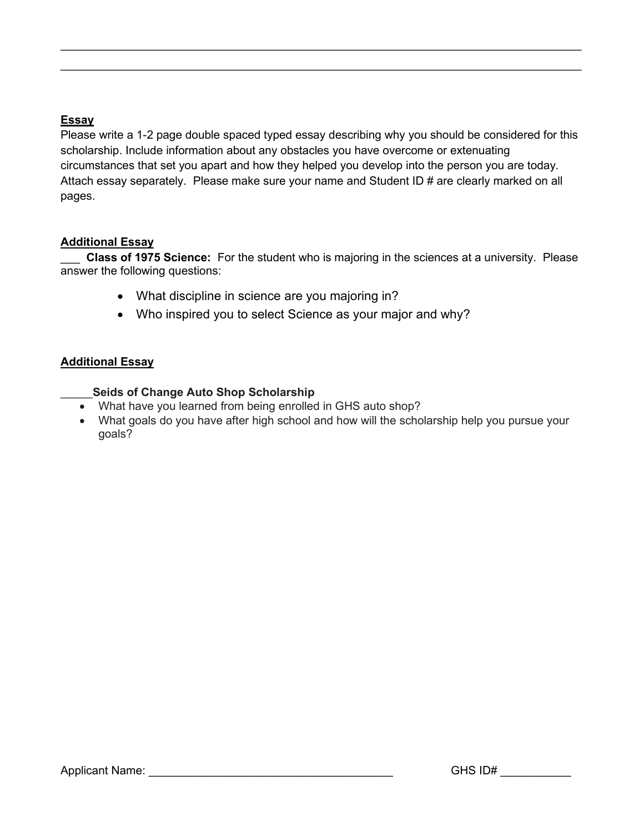#### **Essay**

Please write a 1-2 page double spaced typed essay describing why you should be considered for this scholarship. Include information about any obstacles you have overcome or extenuating circumstances that set you apart and how they helped you develop into the person you are today. Attach essay separately. Please make sure your name and Student ID # are clearly marked on all pages.

 $\_$  , and the set of the set of the set of the set of the set of the set of the set of the set of the set of the set of the set of the set of the set of the set of the set of the set of the set of the set of the set of th \_\_\_\_\_\_\_\_\_\_\_\_\_\_\_\_\_\_\_\_\_\_\_\_\_\_\_\_\_\_\_\_\_\_\_\_\_\_\_\_\_\_\_\_\_\_\_\_\_\_\_\_\_\_\_\_\_\_\_\_\_\_\_\_\_\_\_\_\_\_\_\_\_\_\_\_\_\_\_\_\_

#### **Additional Essay**

\_\_\_ **Class of 1975 Science:** For the student who is majoring in the sciences at a university. Please answer the following questions:

- What discipline in science are you majoring in?
- Who inspired you to select Science as your major and why?

#### **Additional Essay**

#### \_\_\_\_\_**Seids of Change Auto Shop Scholarship**

- What have you learned from being enrolled in GHS auto shop?
- What goals do you have after high school and how will the scholarship help you pursue your goals?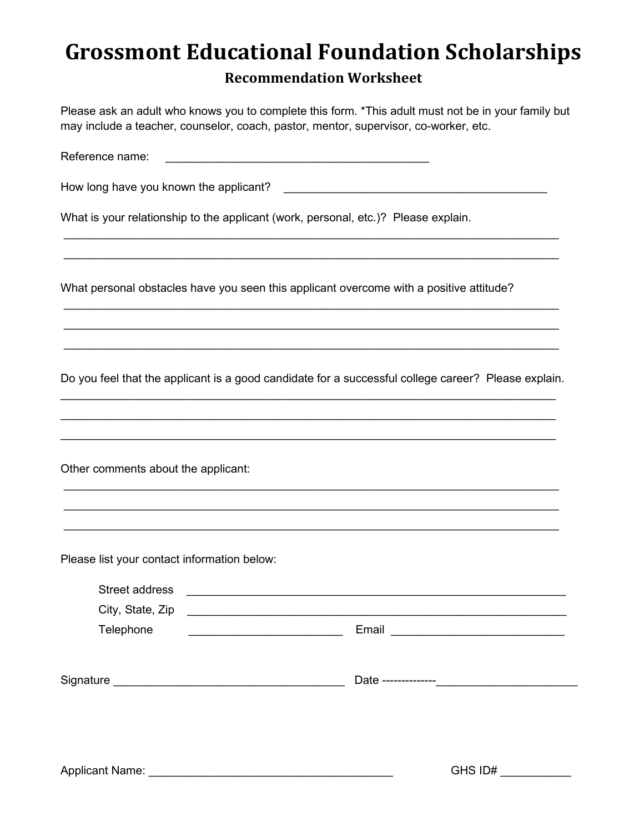# **Grossmont Educational Foundation Scholarships**

#### **Recommendation Worksheet**

Please ask an adult who knows you to complete this form. \*This adult must not be in your family but may include a teacher, counselor, coach, pastor, mentor, supervisor, co-worker, etc.

| Reference name:                                                                    |                                                                                                                       |  |  |  |
|------------------------------------------------------------------------------------|-----------------------------------------------------------------------------------------------------------------------|--|--|--|
|                                                                                    |                                                                                                                       |  |  |  |
| What is your relationship to the applicant (work, personal, etc.)? Please explain. |                                                                                                                       |  |  |  |
|                                                                                    | What personal obstacles have you seen this applicant overcome with a positive attitude?                               |  |  |  |
|                                                                                    | Do you feel that the applicant is a good candidate for a successful college career? Please explain.                   |  |  |  |
| Other comments about the applicant:                                                |                                                                                                                       |  |  |  |
| Please list your contact information below:                                        |                                                                                                                       |  |  |  |
| <b>Street address</b><br>City, State, Zip                                          | <u> 1989 - Johann Stoff, deutscher Stoffen und der Stoffen und der Stoffen und der Stoffen und der Stoffen und de</u> |  |  |  |
| Telephone<br><u> 1989 - Johann Barbara, martin amerikan basar da</u>               |                                                                                                                       |  |  |  |
|                                                                                    |                                                                                                                       |  |  |  |
|                                                                                    |                                                                                                                       |  |  |  |
|                                                                                    |                                                                                                                       |  |  |  |